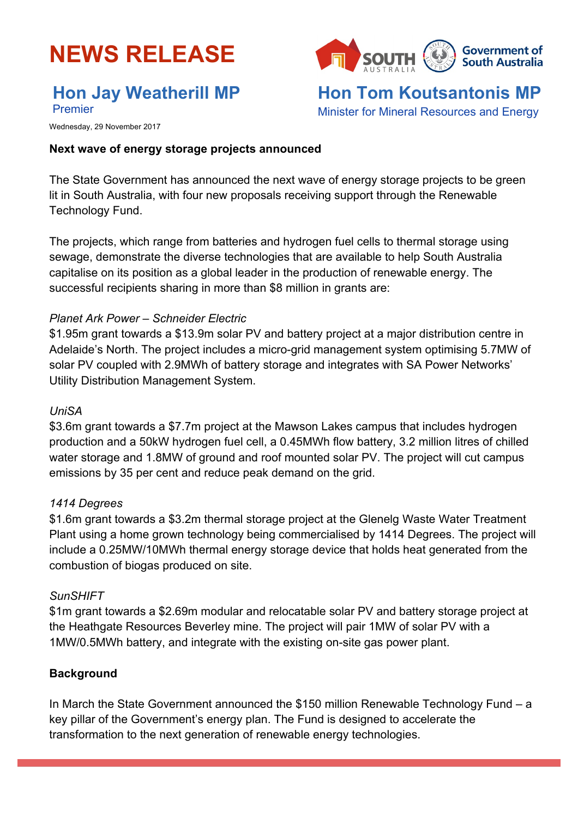

# **Hon Jay Weatherill MP**

Premier

**Government of South Australia** 

**Hon Tom Koutsantonis MP** Minister for Mineral Resources and Energy

Wednesday, 29 November 2017

#### **Next wave of energy storage projects announced**

The State Government has announced the next wave of energy storage projects to be green lit in South Australia, with four new proposals receiving support through the Renewable Technology Fund.

The projects, which range from batteries and hydrogen fuel cells to thermal storage using sewage, demonstrate the diverse technologies that are available to help South Australia capitalise on its position as a global leader in the production of renewable energy. The successful recipients sharing in more than \$8 million in grants are:

#### *Planet Ark Power – Schneider Electric*

\$1.95m grant towards a \$13.9m solar PV and battery project at a major distribution centre in Adelaide's North. The project includes a micro-grid management system optimising 5.7MW of solar PV coupled with 2.9MWh of battery storage and integrates with SA Power Networks' Utility Distribution Management System.

#### *UniSA*

\$3.6m grant towards a \$7.7m project at the Mawson Lakes campus that includes hydrogen production and a 50kW hydrogen fuel cell, a 0.45MWh flow battery, 3.2 million litres of chilled water storage and 1.8MW of ground and roof mounted solar PV. The project will cut campus emissions by 35 per cent and reduce peak demand on the grid.

#### *1414 Degrees*

\$1.6m grant towards a \$3.2m thermal storage project at the Glenelg Waste Water Treatment Plant using a home grown technology being commercialised by 1414 Degrees. The project will include a 0.25MW/10MWh thermal energy storage device that holds heat generated from the combustion of biogas produced on site.

#### *SunSHIFT*

\$1m grant towards a \$2.69m modular and relocatable solar PV and battery storage project at the Heathgate Resources Beverley mine. The project will pair 1MW of solar PV with a 1MW/0.5MWh battery, and integrate with the existing on-site gas power plant.

## **Background**

In March the State Government announced the \$150 million Renewable Technology Fund – a key pillar of the Government's energy plan. The Fund is designed to accelerate the transformation to the next generation of renewable energy technologies.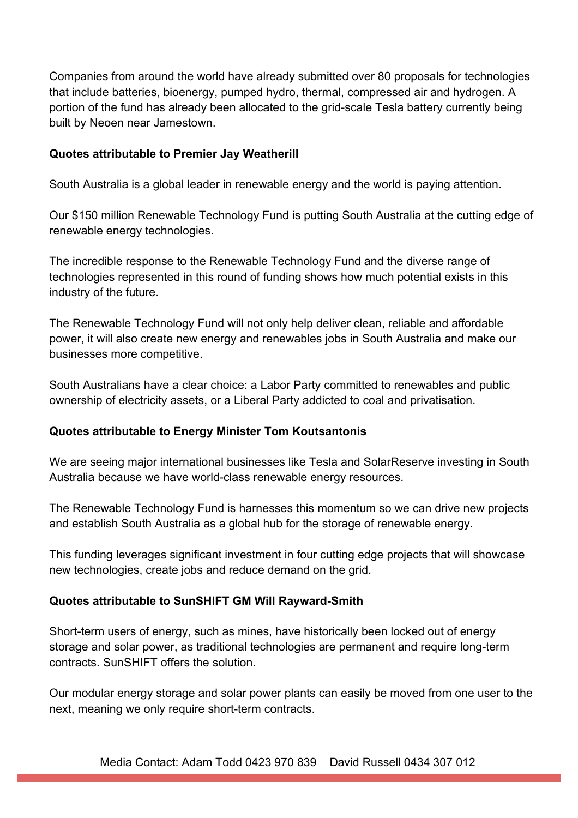Companies from around the world have already submitted over 80 proposals for technologies that include batteries, bioenergy, pumped hydro, thermal, compressed air and hydrogen. A portion of the fund has already been allocated to the grid-scale Tesla battery currently being built by Neoen near Jamestown.

## **Quotes attributable to Premier Jay Weatherill**

South Australia is a global leader in renewable energy and the world is paying attention.

Our \$150 million Renewable Technology Fund is putting South Australia at the cutting edge of renewable energy technologies.

The incredible response to the Renewable Technology Fund and the diverse range of technologies represented in this round of funding shows how much potential exists in this industry of the future.

The Renewable Technology Fund will not only help deliver clean, reliable and affordable power, it will also create new energy and renewables jobs in South Australia and make our businesses more competitive.

South Australians have a clear choice: a Labor Party committed to renewables and public ownership of electricity assets, or a Liberal Party addicted to coal and privatisation.

# **Quotes attributable to Energy Minister Tom Koutsantonis**

We are seeing major international businesses like Tesla and SolarReserve investing in South Australia because we have world-class renewable energy resources.

The Renewable Technology Fund is harnesses this momentum so we can drive new projects and establish South Australia as a global hub for the storage of renewable energy.

This funding leverages significant investment in four cutting edge projects that will showcase new technologies, create jobs and reduce demand on the grid.

# **Quotes attributable to SunSHIFT GM Will Rayward-Smith**

Short-term users of energy, such as mines, have historically been locked out of energy storage and solar power, as traditional technologies are permanent and require long-term contracts. SunSHIFT offers the solution.

Our modular energy storage and solar power plants can easily be moved from one user to the next, meaning we only require short-term contracts.